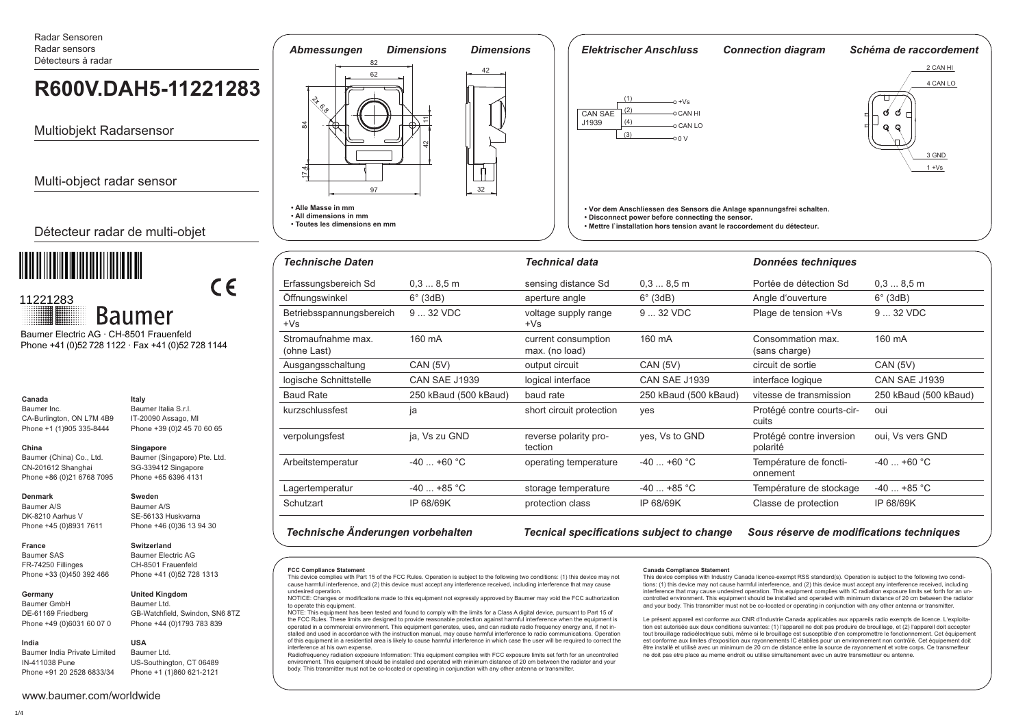Radar Sensoren Radar sensors Détecteurs à radar

# R600V.DAH5-11221283

Multiobjekt Radarsensor

Multi-object radar sensor

# Détecteur radar de multi-objet



 $C \in$ 11221283 **Baumer** Baumer Electric AG · CH-8501 Frauenfeld

Phone +41 (0)52 728 1122 · Fax +41 (0)52 728 1144

Italy

#### Canada Baumer Inc.

Baumer Italia S.r.l. CA-Burlington, ON L7M 4B9 IT-20090 Assago, MI Phone +1 (1)905 335-8444 Phone +39 (0)2 45 70 60 65

## China

Singapore Baumer (China) Co., Ltd. Baumer (Singapore) Pte. Ltd. CN-201612 Shanghai SG-339412 Singapore Phone +86 (0)21 6768 7095 Phone +65 6396 4131

#### **Denmark**

France Baumer SAS

Baumer A/S DK-8210 Aarhus V Phone +45 (0)8931 7611

## Switzerland

**United Kingdom** 

Baumer I td

Baumer Ltd.

**USA** 

SE-56133 Huskvarna

Phone +46 (0)36 13 94 30

GB-Watchfield, Swindon, SN6 8TZ

Phone +44 (0)1793 783 839

US-Southington, CT 06489

Phone +1 (1)860 621-2121

Sweden

Baumer A/S

Baumer Electric AG FR-74250 Fillinges CH-8501 Frauenfeld Phone +33 (0)450 392 466 Phone +41 (0)52 728 1313

Germany **Baumer GmbH** DE-61169 Friedberg Phone +49 (0)6031 60 07 0

### India

Baumer India Private Limited IN-411038 Pune Phone +91 20 2528 6833/34



. Toutes les dimensions en mm



| Technische Daten                        |                                | Technical data                        |                       | <b>Données techniques</b>            |                       |  |  |  |  |  |
|-----------------------------------------|--------------------------------|---------------------------------------|-----------------------|--------------------------------------|-----------------------|--|--|--|--|--|
| Erfassungsbereich Sd                    | 0.38.5m<br>sensing distance Sd |                                       | 0.38.5m               | Portée de détection Sd               | 0.38.5m               |  |  |  |  |  |
| Öffnungswinkel                          | $6^\circ$ (3dB)                | aperture angle                        | $6^\circ$ (3dB)       | Angle d'ouverture                    | $6^\circ$ (3dB)       |  |  |  |  |  |
| Betriebsspannungsbereich<br>$+Vs$       | 9  32 VDC                      | voltage supply range<br>$+Vs$         | 9  32 VDC             | Plage de tension +Vs                 | 9  32 VDC             |  |  |  |  |  |
| Stromaufnahme max.<br>(ohne Last)       | 160 mA                         |                                       | 160 mA                | Consommation max.<br>(sans charge)   | 160 mA                |  |  |  |  |  |
| Ausgangsschaltung                       | CAN (5V)                       | output circuit                        | <b>CAN (5V)</b>       | circuit de sortie                    | <b>CAN (5V)</b>       |  |  |  |  |  |
| logische Schnittstelle<br>CAN SAE J1939 |                                | logical interface                     | <b>CAN SAE J1939</b>  | interface logique                    | <b>CAN SAE J1939</b>  |  |  |  |  |  |
| <b>Baud Rate</b>                        | 250 kBaud (500 kBaud)          | baud rate                             | 250 kBaud (500 kBaud) | vitesse de transmission              | 250 kBaud (500 kBaud) |  |  |  |  |  |
| kurzschlussfest                         | ja                             | short circuit protection              | yes                   | Protégé contre courts-cir-<br>cuits  | oui                   |  |  |  |  |  |
| verpolungsfest<br>ja, Vs zu GND         |                                | reverse polarity pro-<br>tection      | yes, Vs to GND        | Protégé contre inversion<br>polarité | oui, Vs vers GND      |  |  |  |  |  |
| $-40$ +60 °C<br>Arbeitstemperatur       |                                | $-40$ +60 °C<br>operating temperature |                       | Température de foncti-<br>onnement   | $-40+60$ °C           |  |  |  |  |  |
| $-40$ +85 °C<br>Lagertemperatur         |                                | storage temperature                   | $-40$ +85 °C          | Température de stockage              | $-40$ +85 °C          |  |  |  |  |  |
| Schutzart                               | IP 68/69K                      | protection class                      | IP 68/69K             | Classe de protection                 | IP 68/69K             |  |  |  |  |  |

Technische Änderungen vorbehalten

Tecnical specifications subject to change Sous réserve de modifications techniques

#### **ECC Compliance Statement**

This device complies with Part 15 of the FCC Rules. Operation is subject to the following two conditions: (1) this device may not cause harmful interference, and (2) this device must accept any interference received, including interference that may cause undesired operation.

NOTICE: Changes or modifications made to this equipment not expressly approved by Baumer may void the FCC authorization to operate this equipment NOTE: This equipment has been tested and found to comply with the limits for a Class A digital device, pursuant to Part 15 of

the ECC Rules. These limits are designed to provide reasonable protection against harmful interference when the equipment is operated in a commercial environment. This equipment generates, uses, and can radiate radio frequency energy and, if not installed and used in accordance with the instruction manual, may cause harmful interference to radio communications. Operation of this equipment in a residential area is likely to cause harmful interference in which case the user will be required to correct the interference at his own expense.

Radiofrequency radiation exposure Information: This equipment complies with FCC exposure limits set forth for an uncontrolled environment. This equipment should be installed and operated with minimum distance of 20 cm between the radiator and your body. This transmitter must not be co-located or operating in conjunction with any other antenna or transmitter

#### **Canada Compliance Statement**

This device complies with Industry Canada licence-exempt RSS standard(s). Operation is subject to the following two conditions: (1) this device may not cause harmful interference, and (2) this device must accept any interference received, including interference that may cause undesired operation. This equipment complies with IC radiation exposure limits set forth for an uncontrolled environment. This equipment should be installed and operated with minimum distance of 20 cm between the radiator and your body. This transmitter must not be co-located or operating in conjunction with any other antenna or transmitter

Le présent appareil est conforme aux CNR d'Industrie Canada applicables aux appareils radio exempts de licence. L'exploitation est autorisée aux deux conditions suivantes: (1) l'appareil ne doit pas produire de brouillage, et (2) l'appareil doit accepter tout brouillage radioélectrique subi, même si le brouillage est susceptible d'en compromettre le fonctionnement. Cet équipement est conforme aux limites d'exposition aux rayonnements IC établies pour un environnement non contrôlé. Cet équipement doit être installé et utilisé avec un minimum de 20 cm de distance entre la source de rayonnement et votre corps. Ce transmetteur ne doit pas etre place au meme endroit ou utilise simultanement avec un autre transmetteur ou antenne.

www.baumer.com/worldwide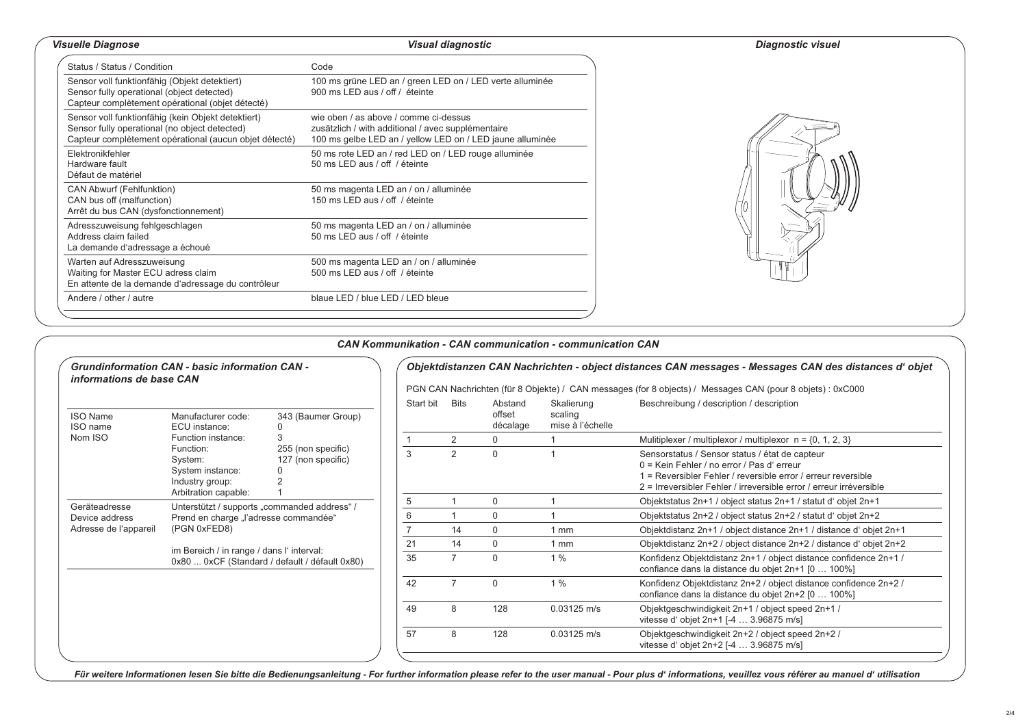| <b>Visuelle Diagnose</b>                                                                                                                                      | <b>Visual diagnostic</b>                                                                                                                                 | <b>Diagnostic visuel</b> |
|---------------------------------------------------------------------------------------------------------------------------------------------------------------|----------------------------------------------------------------------------------------------------------------------------------------------------------|--------------------------|
| Status / Status / Condition                                                                                                                                   | Code                                                                                                                                                     |                          |
| Sensor voll funktionfähig (Objekt detektiert)<br>Sensor fully operational (object detected)<br>Capteur complètement opérational (objet détecté)               | 100 ms grüne LED an / green LED on / LED verte alluminée<br>900 ms LED aus / off / éteinte                                                               |                          |
| Sensor voll funktionfähig (kein Objekt detektiert)<br>Sensor fully operational (no object detected)<br>Capteur complètement opérational (aucun objet détecté) | wie oben / as above / comme ci-dessus<br>zusätzlich / with additional / avec supplémentaire<br>100 ms gelbe LED an / yellow LED on / LED jaune alluminée |                          |
| Flektronikfehler<br>Hardware fault<br>Défaut de matériel                                                                                                      | 50 ms rote LED an / red LED on / LED rouge alluminée<br>50 ms LED aus / off / éteinte                                                                    |                          |
| CAN Abwurf (Fehlfunktion)<br>CAN bus off (malfunction)<br>Arrêt du bus CAN (dysfonctionnement)                                                                | 50 ms magenta LED an / on / alluminée<br>150 ms LED aus / off / éteinte                                                                                  |                          |
| Adresszuweisung fehlgeschlagen<br>Address claim failed<br>La demande d'adressage a échoué                                                                     | 50 ms magenta LED an / on / alluminée<br>50 ms LED aus / off / éteinte                                                                                   |                          |
| Warten auf Adresszuweisung<br>Waiting for Master ECU adress claim<br>En attente de la demande d'adressage du contrôleur                                       | 500 ms magenta LED an / on / alluminée<br>500 ms LED aus / off / éteinte                                                                                 |                          |
| Andere / other / autre                                                                                                                                        | blaue LED / blue LED / LED bleue                                                                                                                         |                          |

*CAN Kommunikation - CAN communication - communication CAN*

| <b>ISO Name</b><br>ISO name<br>Nom ISO                   | Manufacturer code:<br>343 (Baumer Group)<br>ECU instance:<br>Function instance:<br>3<br>Function:<br>255 (non specific)<br>127 (non specific)<br>System:<br>System instance:<br>Industry group:<br>2<br>Arbitration capable: |                                                |  |  |  |  |  |
|----------------------------------------------------------|------------------------------------------------------------------------------------------------------------------------------------------------------------------------------------------------------------------------------|------------------------------------------------|--|--|--|--|--|
| Geräteadresse<br>Device address<br>Adresse de l'appareil | Unterstützt / supports "commanded address" /<br>Prend en charge "l'adresse commandée"<br>(PGN 0xFED8)                                                                                                                        |                                                |  |  |  |  |  |
|                                                          | im Bereich / in range / dans l'interval:                                                                                                                                                                                     | 0x80  0xCF (Standard / default / défault 0x80) |  |  |  |  |  |
|                                                          |                                                                                                                                                                                                                              |                                                |  |  |  |  |  |

| Start bit    | <b>Bits</b>   | Abstand<br>offset<br>décalage | Skalierung<br>scaling<br>mise à l'échelle | Beschreibung / description / description                                                                                                                                                                                            |  |  |  |  |  |
|--------------|---------------|-------------------------------|-------------------------------------------|-------------------------------------------------------------------------------------------------------------------------------------------------------------------------------------------------------------------------------------|--|--|--|--|--|
| $\mathbf{1}$ | $\mathcal{P}$ | $\Omega$                      | 1                                         | Mulitiplexer / multiplexor / multiplexor $n = \{0, 1, 2, 3\}$                                                                                                                                                                       |  |  |  |  |  |
| 3            | 2             | $\Omega$                      |                                           | Sensorstatus / Sensor status / état de capteur<br>0 = Kein Fehler / no error / Pas d'erreur<br>1 = Reversibler Fehler / reversible error / erreur reversible<br>2 = Irreversibler Fehler / irreversible error / erreur irréversible |  |  |  |  |  |
| 5            | 1             | $\Omega$                      | 1                                         | Objektstatus 2n+1 / object status 2n+1 / statut d' objet 2n+1                                                                                                                                                                       |  |  |  |  |  |
| 6            |               | $\Omega$                      | 1                                         | Objektstatus 2n+2 / object status 2n+2 / statut d' objet 2n+2                                                                                                                                                                       |  |  |  |  |  |
| 7            | 14            | 0                             | 1mm                                       | Objektdistanz 2n+1 / object distance 2n+1 / distance d' objet 2n+1                                                                                                                                                                  |  |  |  |  |  |
| 21           | 14            | $\Omega$                      | $1 \text{ mm}$                            | Objektdistanz 2n+2 / object distance 2n+2 / distance d'objet 2n+2                                                                                                                                                                   |  |  |  |  |  |
| 35           | 7             | $\Omega$                      | 1%                                        | Konfidenz Objektdistanz 2n+1 / object distance confidence 2n+1 /<br>confiance dans la distance du objet 2n+1 [0  100%]                                                                                                              |  |  |  |  |  |
| 42           | 7             | $\Omega$                      | 1%                                        | Konfidenz Objektdistanz 2n+2 / object distance confidence 2n+2 /<br>confiance dans la distance du objet 2n+2 [0  100%]                                                                                                              |  |  |  |  |  |
| 49           | 8             | 128                           | $0.03125$ m/s                             | Objektgeschwindigkeit 2n+1 / object speed 2n+1 /<br>vitesse d' objet 2n+1 [-4  3.96875 m/s]                                                                                                                                         |  |  |  |  |  |
| 57           | 8             | 128                           | $0.03125$ m/s                             | Objektgeschwindigkeit 2n+2 / object speed 2n+2 /<br>vitesse d' objet 2n+2 [-4  3.96875 m/s]                                                                                                                                         |  |  |  |  |  |

*Objektdistanzen CAN Nachrichten - object distances CAN messages - Messages CAN des distances d' objet*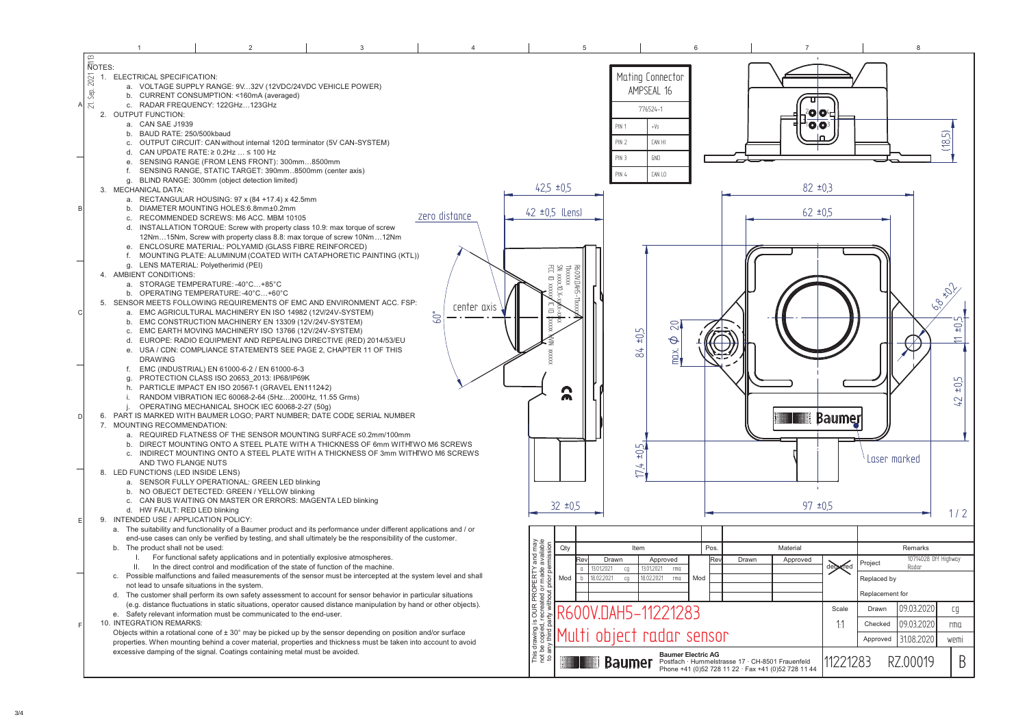